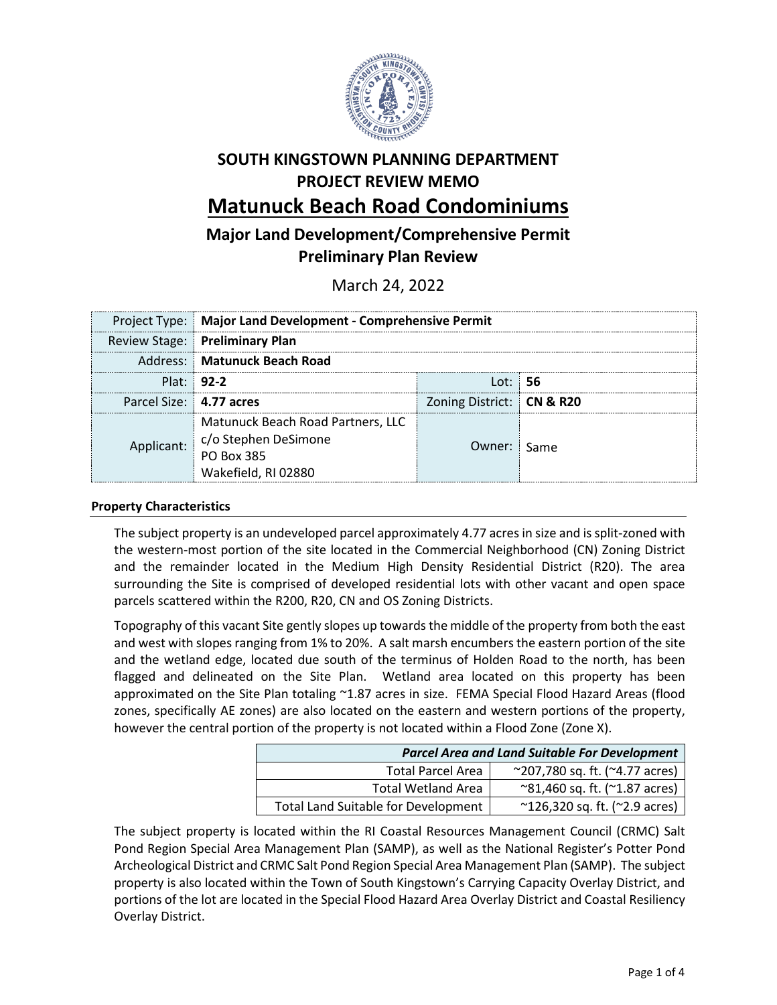

# **SOUTH KINGSTOWN PLANNING DEPARTMENT PROJECT REVIEW MEMO Matunuck Beach Road Condominiums**

## **Major Land Development/Comprehensive Permit Preliminary Plan Review**

March 24, 2022

|                         | Project Type: Major Land Development - Comprehensive Permit                                               |                           |  |
|-------------------------|-----------------------------------------------------------------------------------------------------------|---------------------------|--|
|                         | <b>Review Stage: Preliminary Plan</b>                                                                     |                           |  |
|                         | Address: Matunuck Beach Road                                                                              |                           |  |
|                         | Plat: 92-2                                                                                                | l ot: : <b>56</b>         |  |
| Parcel Size: 4.77 acres |                                                                                                           | Zoning District: CN & R20 |  |
|                         | Matunuck Beach Road Partners, LLC<br>Applicant: c/o Stephen DeSimone<br>PO Box 385<br>Wakefield, RI 02880 | Owner: Same               |  |

## **Property Characteristics**

The subject property is an undeveloped parcel approximately 4.77 acres in size and is split-zoned with the western-most portion of the site located in the Commercial Neighborhood (CN) Zoning District and the remainder located in the Medium High Density Residential District (R20). The area surrounding the Site is comprised of developed residential lots with other vacant and open space parcels scattered within the R200, R20, CN and OS Zoning Districts.

Topography of this vacant Site gently slopes up towards the middle of the property from both the east and west with slopes ranging from 1% to 20%. A salt marsh encumbers the eastern portion of the site and the wetland edge, located due south of the terminus of Holden Road to the north, has been flagged and delineated on the Site Plan. Wetland area located on this property has been approximated on the Site Plan totaling ~1.87 acres in size. FEMA Special Flood Hazard Areas (flood zones, specifically AE zones) are also located on the eastern and western portions of the property, however the central portion of the property is not located within a Flood Zone (Zone X).

| <b>Parcel Area and Land Suitable For Development</b> |                                                   |  |
|------------------------------------------------------|---------------------------------------------------|--|
| <b>Total Parcel Area</b>                             | $^{\sim}$ 207,780 sq. ft. ( $^{\sim}$ 4.77 acres) |  |
| <b>Total Wetland Area</b>                            | $^{\sim}81,460$ sq. ft. ( $^{\sim}1.87$ acres)    |  |
| Total Land Suitable for Development                  | $^{\sim}$ 126,320 sq. ft. ( $^{\sim}$ 2.9 acres)  |  |

The subject property is located within the RI Coastal Resources Management Council (CRMC) Salt Pond Region Special Area Management Plan (SAMP), as well as the National Register's Potter Pond Archeological District and CRMC Salt Pond Region Special Area Management Plan (SAMP). The subject property is also located within the Town of South Kingstown's Carrying Capacity Overlay District, and portions of the lot are located in the Special Flood Hazard Area Overlay District and Coastal Resiliency Overlay District.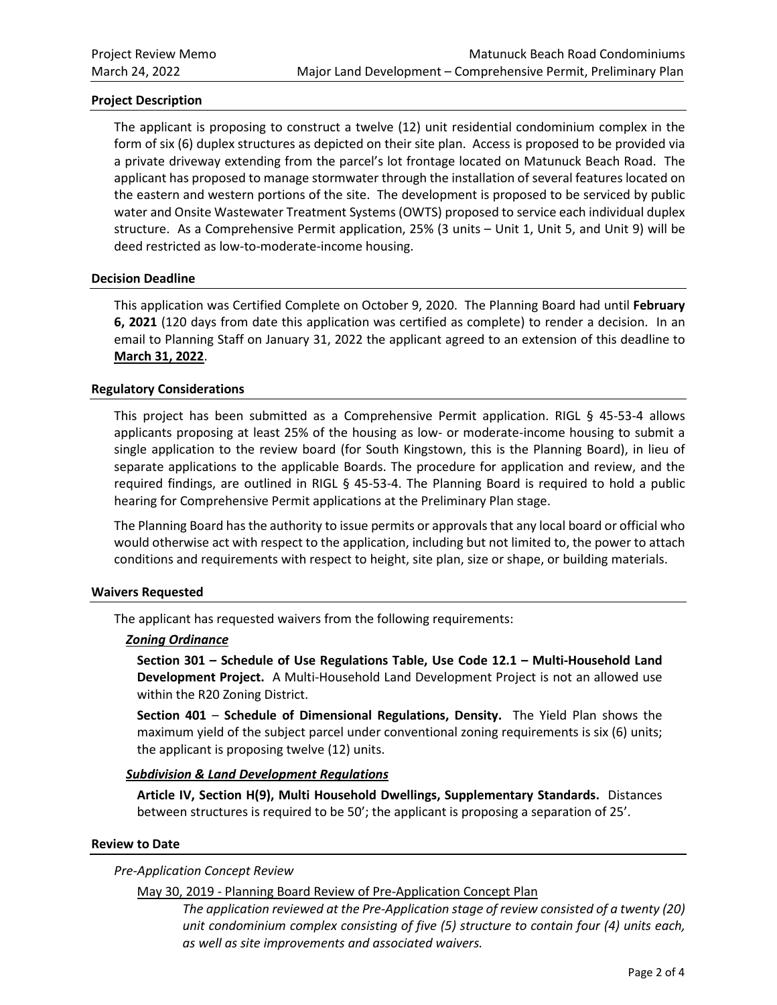## **Project Description**

The applicant is proposing to construct a twelve (12) unit residential condominium complex in the form of six (6) duplex structures as depicted on their site plan. Access is proposed to be provided via a private driveway extending from the parcel's lot frontage located on Matunuck Beach Road. The applicant has proposed to manage stormwater through the installation of several features located on the eastern and western portions of the site. The development is proposed to be serviced by public water and Onsite Wastewater Treatment Systems (OWTS) proposed to service each individual duplex structure. As a Comprehensive Permit application, 25% (3 units – Unit 1, Unit 5, and Unit 9) will be deed restricted as low-to-moderate-income housing.

#### **Decision Deadline**

This application was Certified Complete on October 9, 2020. The Planning Board had until **February 6, 2021** (120 days from date this application was certified as complete) to render a decision. In an email to Planning Staff on January 31, 2022 the applicant agreed to an extension of this deadline to **March 31, 2022**.

#### **Regulatory Considerations**

This project has been submitted as a Comprehensive Permit application. RIGL § 45-53-4 allows applicants proposing at least 25% of the housing as low- or moderate-income housing to submit a single application to the review board (for South Kingstown, this is the Planning Board), in lieu of separate applications to the applicable Boards. The procedure for application and review, and the required findings, are outlined in RIGL § 45-53-4. The Planning Board is required to hold a public hearing for Comprehensive Permit applications at the Preliminary Plan stage.

The Planning Board has the authority to issue permits or approvals that any local board or official who would otherwise act with respect to the application, including but not limited to, the power to attach conditions and requirements with respect to height, site plan, size or shape, or building materials.

#### **Waivers Requested**

The applicant has requested waivers from the following requirements:

#### *Zoning Ordinance*

**Section 301 – Schedule of Use Regulations Table, Use Code 12.1 – Multi-Household Land Development Project.** A Multi-Household Land Development Project is not an allowed use within the R20 Zoning District.

**Section 401** – **Schedule of Dimensional Regulations, Density.** The Yield Plan shows the maximum yield of the subject parcel under conventional zoning requirements is six (6) units; the applicant is proposing twelve (12) units.

#### *Subdivision & Land Development Regulations*

**Article IV, Section H(9), Multi Household Dwellings, Supplementary Standards.** Distances between structures is required to be 50'; the applicant is proposing a separation of 25'.

#### **Review to Date**

## *Pre-Application Concept Review*

## May 30, 2019 - Planning Board Review of Pre-Application Concept Plan

*The application reviewed at the Pre-Application stage of review consisted of a twenty (20) unit condominium complex consisting of five (5) structure to contain four (4) units each, as well as site improvements and associated waivers.*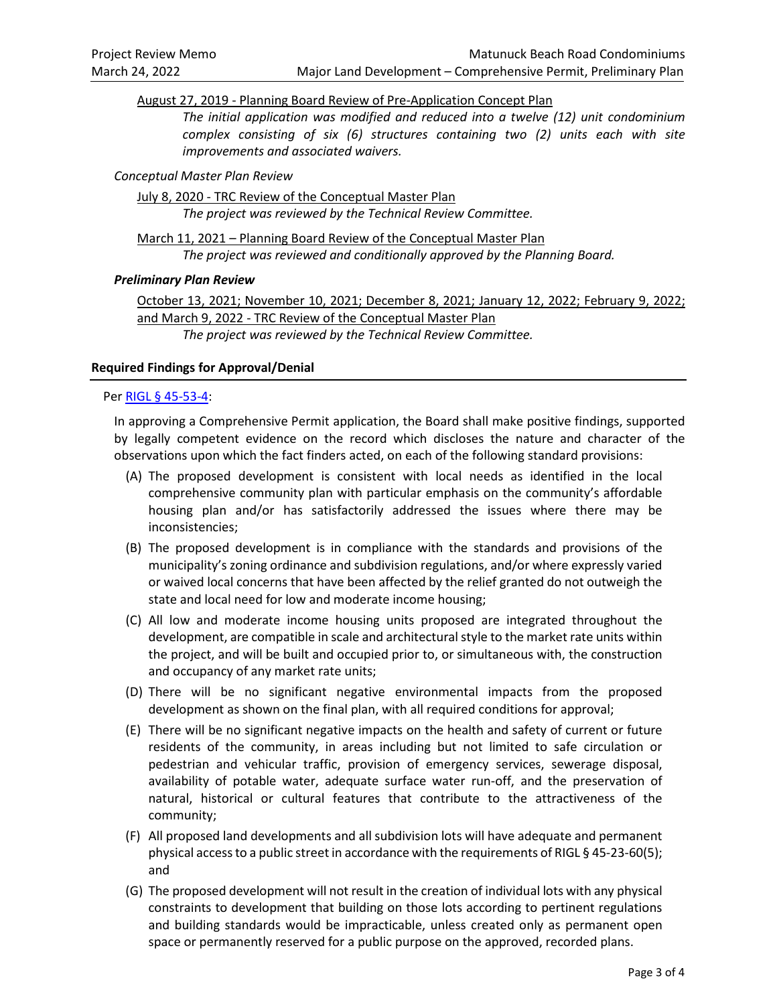August 27, 2019 - Planning Board Review of Pre-Application Concept Plan

*The initial application was modified and reduced into a twelve (12) unit condominium complex consisting of six (6) structures containing two (2) units each with site improvements and associated waivers.*

## *Conceptual Master Plan Review*

July 8, 2020 - TRC Review of the Conceptual Master Plan *The project was reviewed by the Technical Review Committee.*

March 11, 2021 – Planning Board Review of the Conceptual Master Plan *The project was reviewed and conditionally approved by the Planning Board.*

## *Preliminary Plan Review*

October 13, 2021; November 10, 2021; December 8, 2021; January 12, 2022; February 9, 2022; and March 9, 2022 - TRC Review of the Conceptual Master Plan *The project was reviewed by the Technical Review Committee.*

## **Required Findings for Approval/Denial**

## Per [RIGL § 45-53-4:](http://webserver.rilin.state.ri.us/Statutes/TITLE45/45-53/45-53-4.HTM)

In approving a Comprehensive Permit application, the Board shall make positive findings, supported by legally competent evidence on the record which discloses the nature and character of the observations upon which the fact finders acted, on each of the following standard provisions:

- (A) The proposed development is consistent with local needs as identified in the local comprehensive community plan with particular emphasis on the community's affordable housing plan and/or has satisfactorily addressed the issues where there may be inconsistencies;
- (B) The proposed development is in compliance with the standards and provisions of the municipality's zoning ordinance and subdivision regulations, and/or where expressly varied or waived local concerns that have been affected by the relief granted do not outweigh the state and local need for low and moderate income housing;
- (C) All low and moderate income housing units proposed are integrated throughout the development, are compatible in scale and architectural style to the market rate units within the project, and will be built and occupied prior to, or simultaneous with, the construction and occupancy of any market rate units;
- (D) There will be no significant negative environmental impacts from the proposed development as shown on the final plan, with all required conditions for approval;
- (E) There will be no significant negative impacts on the health and safety of current or future residents of the community, in areas including but not limited to safe circulation or pedestrian and vehicular traffic, provision of emergency services, sewerage disposal, availability of potable water, adequate surface water run-off, and the preservation of natural, historical or cultural features that contribute to the attractiveness of the community;
- (F) All proposed land developments and all subdivision lots will have adequate and permanent physical access to a public street in accordance with the requirements of RIGL § 45-23-60(5); and
- (G) The proposed development will not result in the creation of individual lots with any physical constraints to development that building on those lots according to pertinent regulations and building standards would be impracticable, unless created only as permanent open space or permanently reserved for a public purpose on the approved, recorded plans.